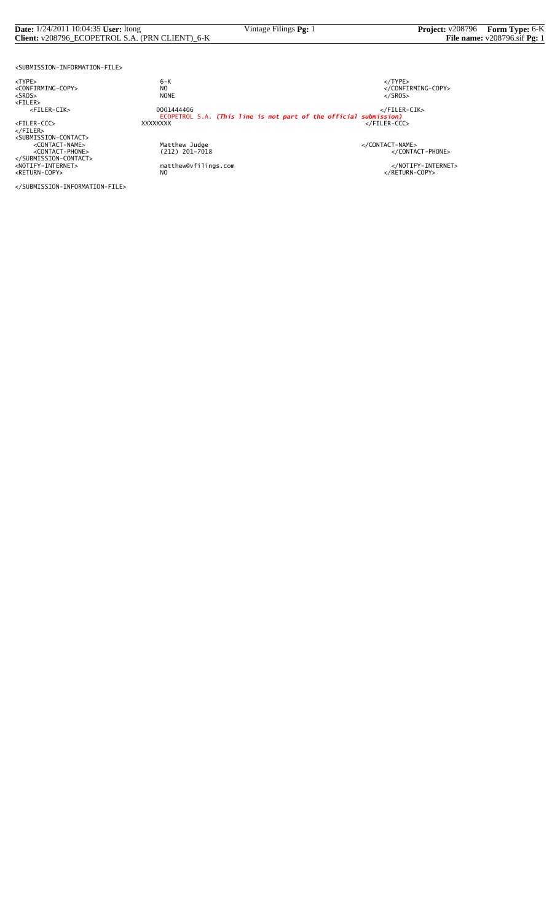| <b>Date:</b> $1/24/2011$ 10:04:35 <b>User:</b> Itong | Vintage Filings Pg: 1 | <b>Project:</b> v208796 Form Type: 6-K  |
|------------------------------------------------------|-----------------------|-----------------------------------------|
| Client: v208796_ECOPETROL S.A. (PRN CLIENT)_6-K      |                       | File name: $v208796.\text{sif }\nPg: 1$ |

<SUBMISSION-INFORMATION-FILE>

</SUBMISSION-INFORMATION-FILE>

<TYPE> 6-K </TYPE>  $\begin{array}{lll} 6-K &  \\ \texttt{NO} &  \\ \texttt{NONE} &  \end{array}$ <SROS> NONE </SROS> <FILER> <FILER-CIK> 0001444406 </FILER-CIK> ECOPETROL S.A. *(This line is not part of the official submission)* <FILER-CCC> XXXXXXXX </FILER-CCC> </FILER><br><SUBMISSION-CONTACT><br><CONTACT-NAME> </CONTACT-NAME></CONTACT-NAME> Matthew Judge<br>
(212) 201-7018 </CONTACT-PHONE><br>
</CONTACT-PHONE> </SUBMISSION-CONTACT><br><NOTIFY-INTERNET> matthew@vfilings.com </NOTIFY-INTERNET><br><RETURN-COPY> NO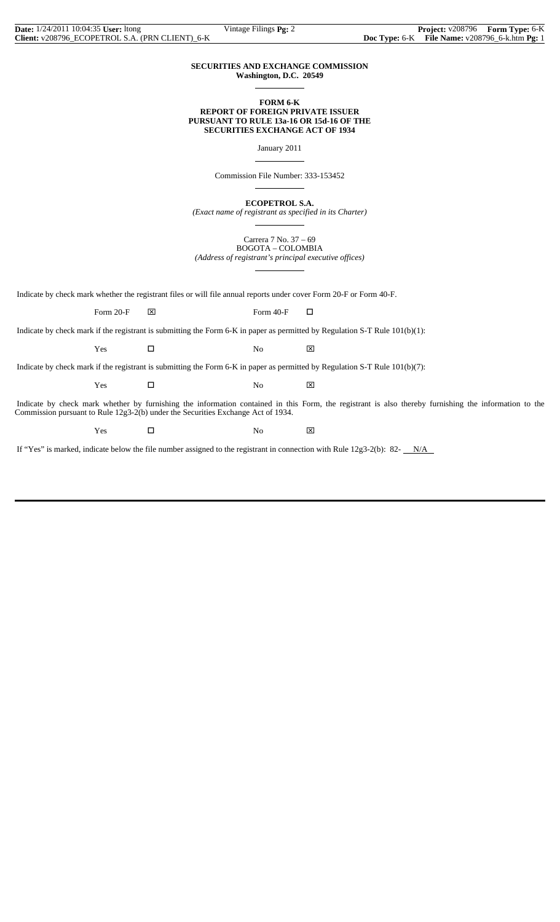## **SECURITIES AND EXCHANGE COMMISSION Washington, D.C. 20549**

 $\overline{a}$ 

 $\overline{a}$ 

 $\overline{a}$ 

 $\overline{a}$ 

## **FORM 6-K REPORT OF FOREIGN PRIVATE ISSUER PURSUANT TO RULE 13a-16 OR 15d-16 OF THE SECURITIES EXCHANGE ACT OF 1934**

January 2011

Commission File Number: 333-153452

**ECOPETROL S.A.**

*(Exact name of registrant as specified in its Charter)*  $\overline{a}$ 

> Carrera 7 No. 37 – 69 BOGOTA – COLOMBIA

*(Address of registrant's principal executive offices)*

Indicate by check mark whether the registrant files or will file annual reports under cover Form 20-F or Form 40-F.

Form 20-F  $\boxtimes$  Form 40-F  $\Box$ 

Indicate by check mark if the registrant is submitting the Form 6-K in paper as permitted by Regulation S-T Rule 101(b)(1):

 $Yes$   $\Box$  No  $\boxtimes$ 

Indicate by check mark if the registrant is submitting the Form 6-K in paper as permitted by Regulation S-T Rule 101(b)(7):

 $Yes$   $\Box$  No  $\boxtimes$ 

 Indicate by check mark whether by furnishing the information contained in this Form, the registrant is also thereby furnishing the information to the Commission pursuant to Rule 12g3-2(b) under the Securities Exchange Act of 1934.

Yes □ No ⊠

If "Yes" is marked, indicate below the file number assigned to the registrant in connection with Rule 12g3-2(b): 82- $N/A$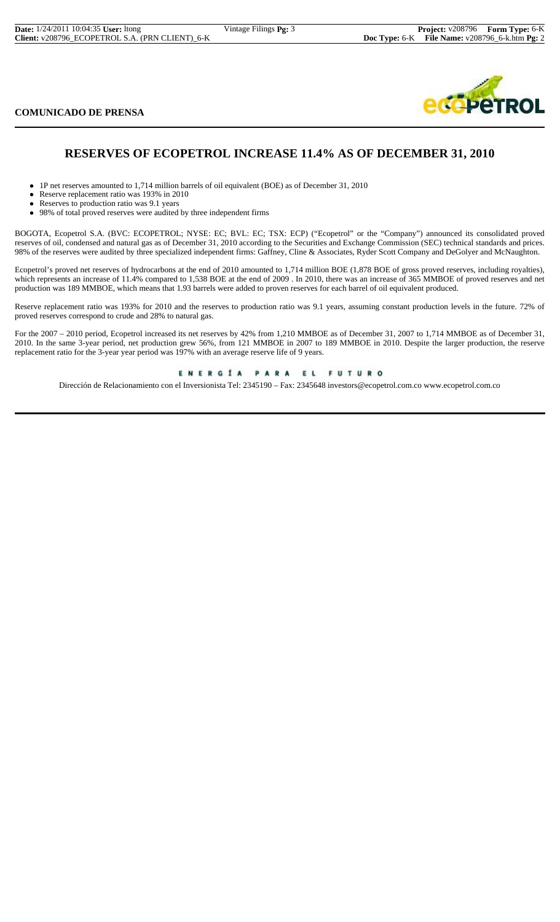| <b>Date:</b> 1/24/2011 10:04:35 User: Itong      | Vintage Filings Pg: 3 |
|--------------------------------------------------|-----------------------|
| Client: v208796_ECOPETROL S.A. (PRN CLIENT)_6-K_ |                       |

**COMUNICADO DE PRENSA**



# **RESERVES OF ECOPETROL INCREASE 11.4% AS OF DECEMBER 31, 2010**

- 1P net reserves amounted to 1,714 million barrels of oil equivalent (BOE) as of December 31, 2010
- Reserve replacement ratio was 193% in 2010
- Reserves to production ratio was 9.1 years
- 98% of total proved reserves were audited by three independent firms

BOGOTA, Ecopetrol S.A. (BVC: ECOPETROL; NYSE: EC; BVL: EC; TSX: ECP) ("Ecopetrol" or the "Company") announced its consolidated proved reserves of oil, condensed and natural gas as of December 31, 2010 according to the Securities and Exchange Commission (SEC) technical standards and prices. 98% of the reserves were audited by three specialized independent firms: Gaffney, Cline & Associates, Ryder Scott Company and DeGolyer and McNaughton.

Ecopetrol's proved net reserves of hydrocarbons at the end of 2010 amounted to 1,714 million BOE (1,878 BOE of gross proved reserves, including royalties), which represents an increase of 11.4% compared to 1,538 BOE at the end of 2009. In 2010, there was an increase of 365 MMBOE of proved reserves and net production was 189 MMBOE, which means that 1.93 barrels were added to proven reserves for each barrel of oil equivalent produced.

Reserve replacement ratio was 193% for 2010 and the reserves to production ratio was 9.1 years, assuming constant production levels in the future. 72% of proved reserves correspond to crude and 28% to natural gas.

For the 2007 – 2010 period, Ecopetrol increased its net reserves by 42% from 1,210 MMBOE as of December 31, 2007 to 1,714 MMBOE as of December 31, 2010. In the same 3-year period, net production grew 56%, from 121 MMBOE in 2007 to 189 MMBOE in 2010. Despite the larger production, the reserve replacement ratio for the 3-year year period was 197% with an average reserve life of 9 years.

ENERGÍA PARA EL FUTURO

Dirección de Relacionamiento con el Inversionista Tel: 2345190 – Fax: 2345648 investors@ecopetrol.com.co www.ecopetrol.com.co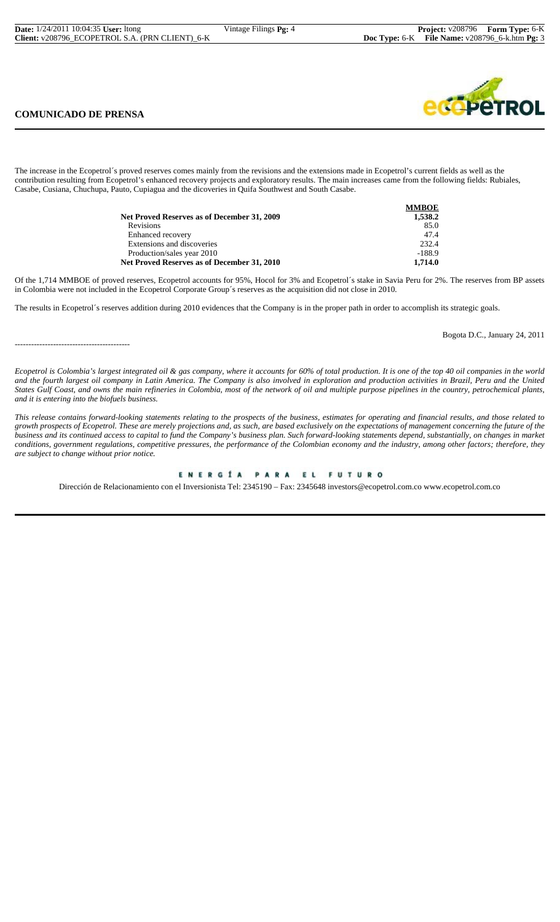| <b>Date:</b> 1/24/2011 10:04:35 <b>User:</b> Itong | Vintage Filings <b>Pg:</b> $\angle$ |
|----------------------------------------------------|-------------------------------------|
| Client: v208796_ECOPETROL S.A. (PRN CLIENT)_6-K_   |                                     |

## **COMUNICADO DE PRENSA**

------------------------------------------

The increase in the Ecopetrol´s proved reserves comes mainly from the revisions and the extensions made in Ecopetrol's current fields as well as the contribution resulting from Ecopetrol's enhanced recovery projects and exploratory results. The main increases came from the following fields: Rubiales, Casabe, Cusiana, Chuchupa, Pauto, Cupiagua and the dicoveries in Quifa Southwest and South Casabe.

|                                             | <b>MMBOE</b> |
|---------------------------------------------|--------------|
| Net Proved Reserves as of December 31, 2009 | 1,538.2      |
| <b>Revisions</b>                            | 85.0         |
| Enhanced recovery                           | 47.4         |
| Extensions and discoveries                  | 232.4        |
| Production/sales year 2010                  | $-188.9$     |
| Net Proved Reserves as of December 31, 2010 | 1.714.0      |

Of the 1,714 MMBOE of proved reserves, Ecopetrol accounts for 95%, Hocol for 3% and Ecopetrol´s stake in Savia Peru for 2%. The reserves from BP assets in Colombia were not included in the Ecopetrol Corporate Group´s reserves as the acquisition did not close in 2010.

The results in Ecopetrol´s reserves addition during 2010 evidences that the Company is in the proper path in order to accomplish its strategic goals.

Bogota D.C., January 24, 2011

*Ecopetrol is Colombia's largest integrated oil & gas company, where it accounts for 60% of total production. It is one of the top 40 oil companies in the world and the fourth largest oil company in Latin America. The Company is also involved in exploration and production activities in Brazil, Peru and the United States Gulf Coast, and owns the main refineries in Colombia, most of the network of oil and multiple purpose pipelines in the country, petrochemical plants, and it is entering into the biofuels business.*

*This release contains forward-looking statements relating to the prospects of the business, estimates for operating and financial results, and those related to growth prospects of Ecopetrol. These are merely projections and, as such, are based exclusively on the expectations of management concerning the future of the business and its continued access to capital to fund the Company's business plan. Such forward-looking statements depend, substantially, on changes in market conditions, government regulations, competitive pressures, the performance of the Colombian economy and the industry, among other factors; therefore, they are subject to change without prior notice.*

#### ENERGÍA PARA EL **FUTURO**

Dirección de Relacionamiento con el Inversionista Tel: 2345190 – Fax: 2345648 investors@ecopetrol.com.co www.ecopetrol.com.co

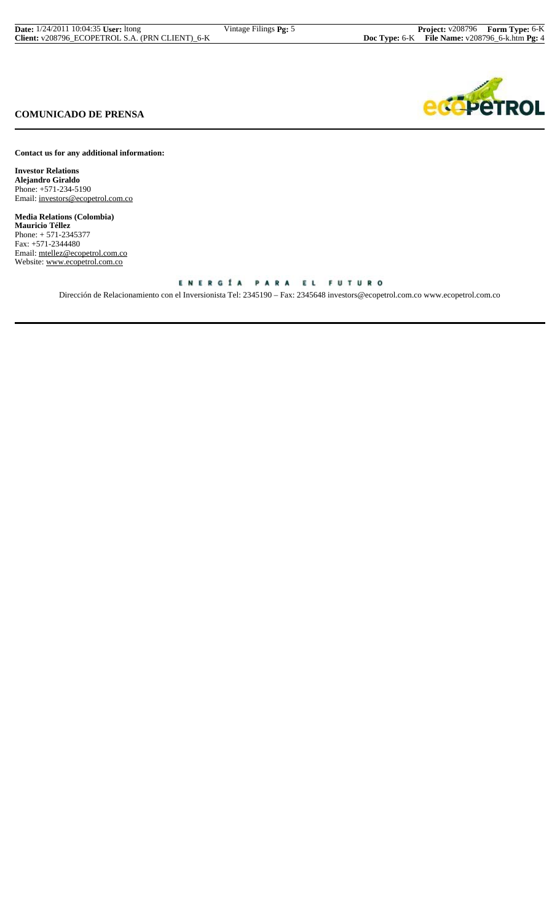| <b>Date:</b> $1/24/2011$ 10:04:35 <b>User:</b> Itong | Vintage Filings <b>Pg:</b> 5 | <b>Project:</b> v208796 Form Type: 6-K                  |  |
|------------------------------------------------------|------------------------------|---------------------------------------------------------|--|
| Client: v208796 ECOPETROL S.A. (PRN CLIENT) 6-K      |                              | <b>Doc Type:</b> 6-K File Name: $v208796$ 6-k.htm Pg: 4 |  |



# **COMUNICADO DE PRENSA**

**Contact us for any additional information:**

**Investor Relations Alejandro Giraldo** Phone: +571-234-5190 Email: investors@ecopetrol.com.co

**Media Relations (Colombia) Mauricio Téllez** Phone: + 571-2345377 Fax: +571-2344480 Email: mtellez@ecopetrol.com.co Website: www.ecopetrol.com.co

## ENERGÍA PARA EL FUTURO

Dirección de Relacionamiento con el Inversionista Tel: 2345190 – Fax: 2345648 investors@ecopetrol.com.co www.ecopetrol.com.co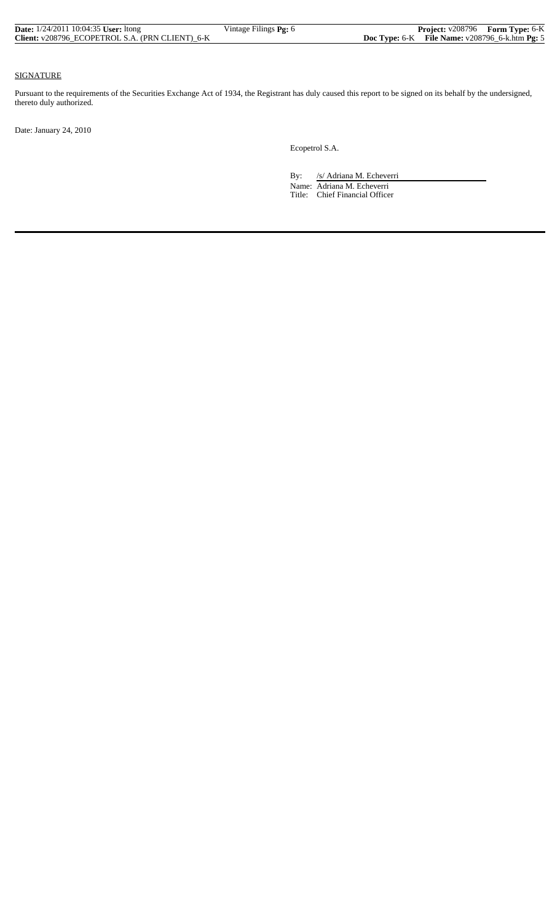| <b>Date:</b> $1/24/2011$ 10:04:35 <b>User:</b> ltong | Vintage Filings <b>Pg:</b> 6 | <b>Project:</b> v208796 Form Type: 6-K              |  |
|------------------------------------------------------|------------------------------|-----------------------------------------------------|--|
| Client: v208796 ECOPETROL S.A. (PRN CLIENT) 6-K      |                              | Doc Type: $6-K$ File Name: $v208796_6$ -k.htm Pg: 5 |  |

### SIGNATURE

Pursuant to the requirements of the Securities Exchange Act of 1934, the Registrant has duly caused this report to be signed on its behalf by the undersigned, thereto duly authorized.

Date: January 24, 2010

Ecopetrol S.A.

By: /s/ Adriana M. Echeverri Name: Adriana M. Echeverri

Title: Chief Financial Officer